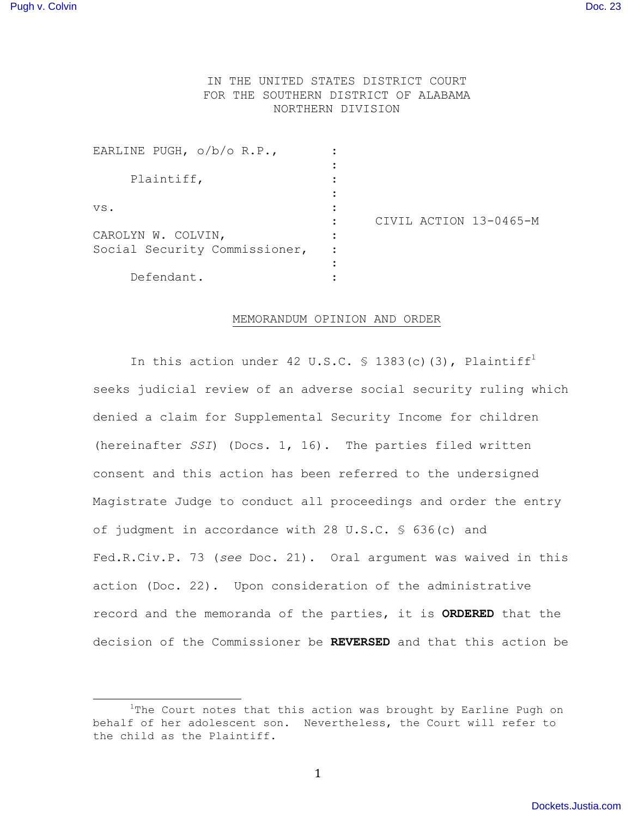## IN THE UNITED STATES DISTRICT COURT FOR THE SOUTHERN DISTRICT OF ALABAMA NORTHERN DIVISION

| EARLINE PUGH, $o/b/o$ R.P.,   |  |                        |
|-------------------------------|--|------------------------|
| Plaintiff,                    |  |                        |
| VS.                           |  |                        |
| CAROLYN W. COLVIN,            |  | CIVIL ACTION 13-0465-M |
| Social Security Commissioner, |  |                        |
| Defendant.                    |  |                        |

## MEMORANDUM OPINION AND ORDER

In this action under 42 U.S.C. § 1383(c)(3), Plaintiff<sup>1</sup> seeks judicial review of an adverse social security ruling which denied a claim for Supplemental Security Income for children (hereinafter *SSI*) (Docs. 1, 16). The parties filed written consent and this action has been referred to the undersigned Magistrate Judge to conduct all proceedings and order the entry of judgment in accordance with 28 U.S.C. § 636(c) and Fed.R.Civ.P. 73 (*see* Doc. 21). Oral argument was waived in this action (Doc. 22). Upon consideration of the administrative record and the memoranda of the parties, it is **ORDERED** that the decision of the Commissioner be **REVERSED** and that this action be

 <sup>1</sup> The Court notes that this action was brought by Earline Pugh on behalf of her adolescent son. Nevertheless, the Court will refer to the child as the Plaintiff.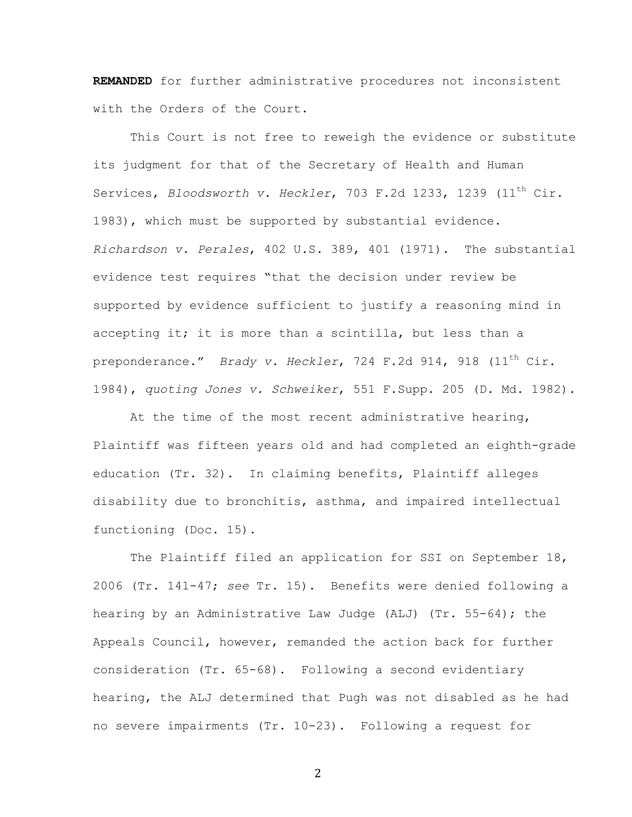**REMANDED** for further administrative procedures not inconsistent with the Orders of the Court.

This Court is not free to reweigh the evidence or substitute its judgment for that of the Secretary of Health and Human Services, *Bloodsworth v. Heckler*, 703 F.2d 1233, 1239 (11th Cir. 1983), which must be supported by substantial evidence. *Richardson v. Perales*, 402 U.S. 389, 401 (1971). The substantial evidence test requires "that the decision under review be supported by evidence sufficient to justify a reasoning mind in accepting it; it is more than a scintilla, but less than a preponderance." *Brady v. Heckler*, 724 F.2d 914, 918 (11th Cir. 1984), *quoting Jones v. Schweiker*, 551 F.Supp. 205 (D. Md. 1982).

At the time of the most recent administrative hearing, Plaintiff was fifteen years old and had completed an eighth-grade education (Tr. 32). In claiming benefits, Plaintiff alleges disability due to bronchitis, asthma, and impaired intellectual functioning (Doc. 15).

The Plaintiff filed an application for SSI on September 18, 2006 (Tr. 141-47; *see* Tr. 15). Benefits were denied following a hearing by an Administrative Law Judge (ALJ) (Tr. 55-64); the Appeals Council, however, remanded the action back for further consideration (Tr. 65-68). Following a second evidentiary hearing, the ALJ determined that Pugh was not disabled as he had no severe impairments (Tr. 10-23). Following a request for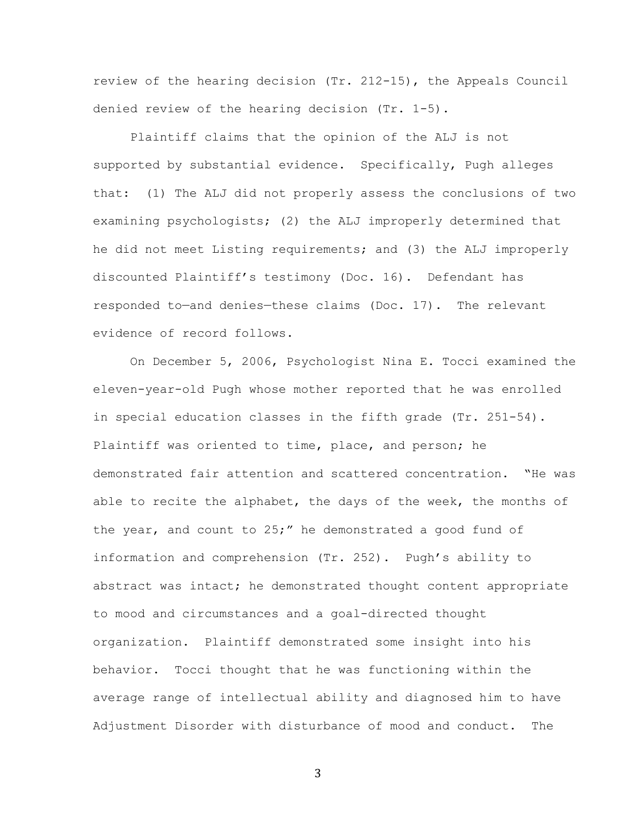review of the hearing decision (Tr. 212-15), the Appeals Council denied review of the hearing decision (Tr. 1-5).

Plaintiff claims that the opinion of the ALJ is not supported by substantial evidence. Specifically, Pugh alleges that: (1) The ALJ did not properly assess the conclusions of two examining psychologists; (2) the ALJ improperly determined that he did not meet Listing requirements; and (3) the ALJ improperly discounted Plaintiff's testimony (Doc. 16). Defendant has responded to—and denies—these claims (Doc. 17). The relevant evidence of record follows.

On December 5, 2006, Psychologist Nina E. Tocci examined the eleven-year-old Pugh whose mother reported that he was enrolled in special education classes in the fifth grade (Tr. 251-54). Plaintiff was oriented to time, place, and person; he demonstrated fair attention and scattered concentration. "He was able to recite the alphabet, the days of the week, the months of the year, and count to 25;" he demonstrated a good fund of information and comprehension (Tr. 252). Pugh's ability to abstract was intact; he demonstrated thought content appropriate to mood and circumstances and a goal-directed thought organization. Plaintiff demonstrated some insight into his behavior. Tocci thought that he was functioning within the average range of intellectual ability and diagnosed him to have Adjustment Disorder with disturbance of mood and conduct. The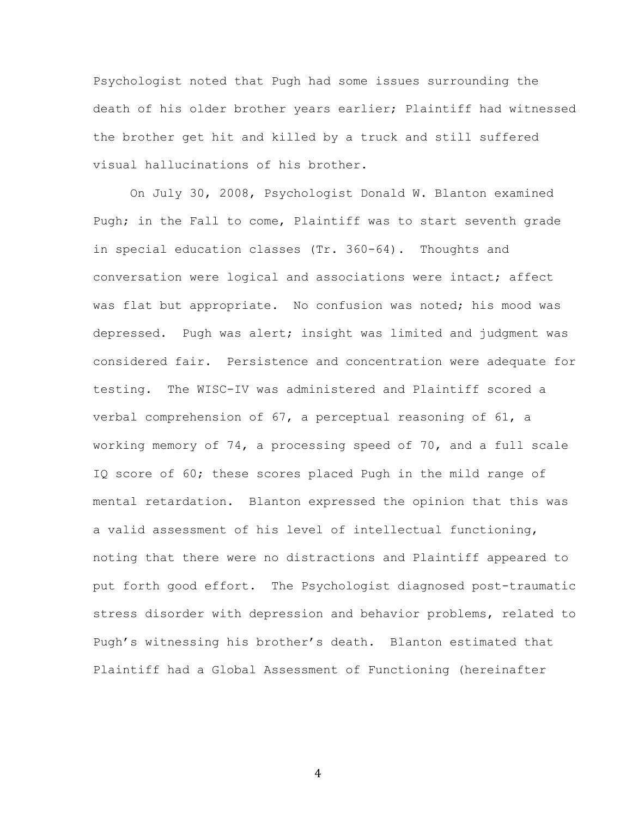Psychologist noted that Pugh had some issues surrounding the death of his older brother years earlier; Plaintiff had witnessed the brother get hit and killed by a truck and still suffered visual hallucinations of his brother.

On July 30, 2008, Psychologist Donald W. Blanton examined Pugh; in the Fall to come, Plaintiff was to start seventh grade in special education classes (Tr. 360-64). Thoughts and conversation were logical and associations were intact; affect was flat but appropriate. No confusion was noted; his mood was depressed. Pugh was alert; insight was limited and judgment was considered fair. Persistence and concentration were adequate for testing. The WISC-IV was administered and Plaintiff scored a verbal comprehension of 67, a perceptual reasoning of 61, a working memory of 74, a processing speed of 70, and a full scale IQ score of 60; these scores placed Pugh in the mild range of mental retardation. Blanton expressed the opinion that this was a valid assessment of his level of intellectual functioning, noting that there were no distractions and Plaintiff appeared to put forth good effort. The Psychologist diagnosed post-traumatic stress disorder with depression and behavior problems, related to Pugh's witnessing his brother's death. Blanton estimated that Plaintiff had a Global Assessment of Functioning (hereinafter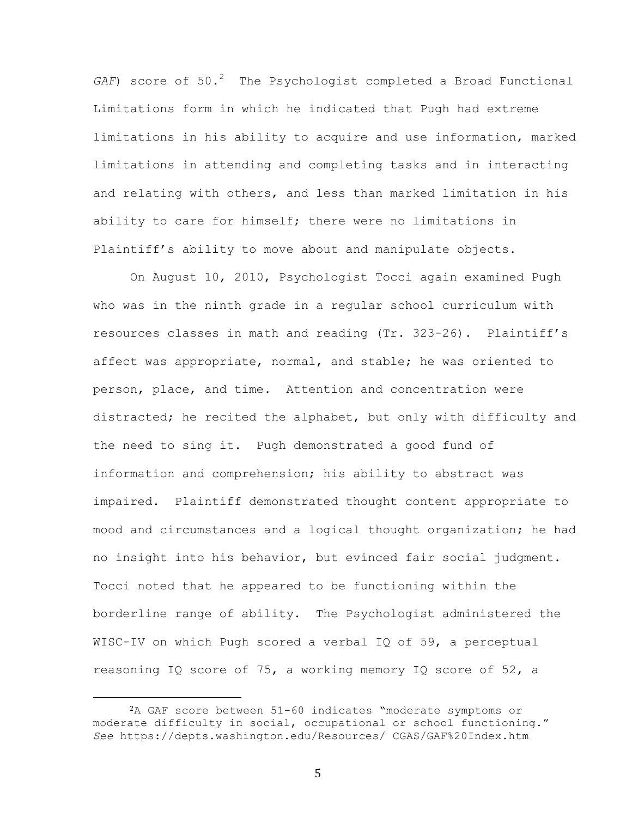GAF) score of 50.<sup>2</sup> The Psychologist completed a Broad Functional Limitations form in which he indicated that Pugh had extreme limitations in his ability to acquire and use information, marked limitations in attending and completing tasks and in interacting and relating with others, and less than marked limitation in his ability to care for himself; there were no limitations in Plaintiff's ability to move about and manipulate objects.

On August 10, 2010, Psychologist Tocci again examined Pugh who was in the ninth grade in a regular school curriculum with resources classes in math and reading (Tr. 323-26). Plaintiff's affect was appropriate, normal, and stable; he was oriented to person, place, and time. Attention and concentration were distracted; he recited the alphabet, but only with difficulty and the need to sing it. Pugh demonstrated a good fund of information and comprehension; his ability to abstract was impaired. Plaintiff demonstrated thought content appropriate to mood and circumstances and a logical thought organization; he had no insight into his behavior, but evinced fair social judgment. Tocci noted that he appeared to be functioning within the borderline range of ability. The Psychologist administered the WISC-IV on which Pugh scored a verbal IQ of 59, a perceptual reasoning IQ score of 75, a working memory IQ score of 52, a

 

<sup>2</sup>A GAF score between 51-60 indicates "moderate symptoms or moderate difficulty in social, occupational or school functioning." *See* https://depts.washington.edu/Resources/ CGAS/GAF%20Index.htm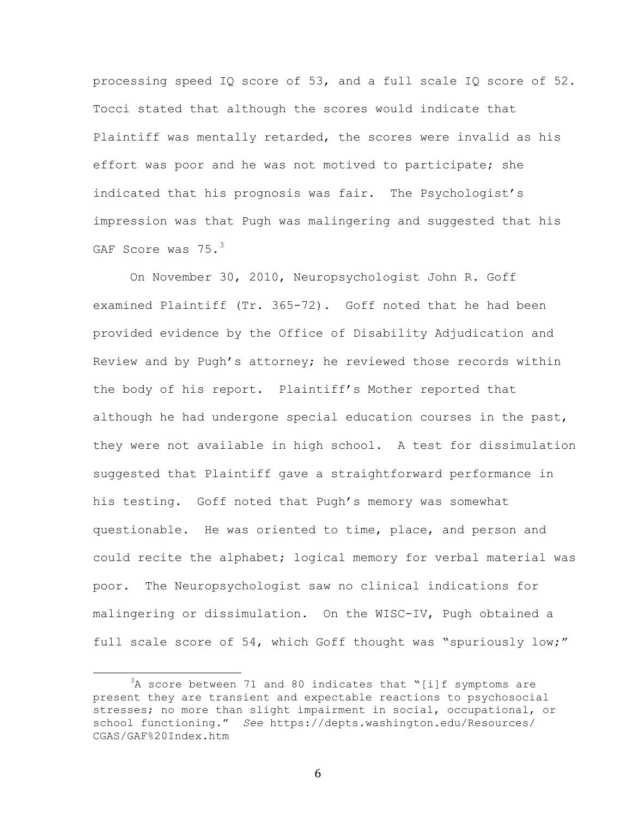processing speed IQ score of 53, and a full scale IQ score of 52. Tocci stated that although the scores would indicate that Plaintiff was mentally retarded, the scores were invalid as his effort was poor and he was not motived to participate; she indicated that his prognosis was fair. The Psychologist's impression was that Pugh was malingering and suggested that his GAF Score was  $75.$ <sup>3</sup>

On November 30, 2010, Neuropsychologist John R. Goff examined Plaintiff (Tr. 365-72). Goff noted that he had been provided evidence by the Office of Disability Adjudication and Review and by Pugh's attorney; he reviewed those records within the body of his report. Plaintiff's Mother reported that although he had undergone special education courses in the past, they were not available in high school. A test for dissimulation suggested that Plaintiff gave a straightforward performance in his testing. Goff noted that Pugh's memory was somewhat questionable. He was oriented to time, place, and person and could recite the alphabet; logical memory for verbal material was poor. The Neuropsychologist saw no clinical indications for malingering or dissimulation. On the WISC-IV, Pugh obtained a full scale score of 54, which Goff thought was "spuriously low;"

and a set of the correction of the correction of the correction of the set of the set of the set of the set of  $\frac{3}{4}$  score between 71 and 80 indicates that "[i]f symptoms are present they are transient and expectable reactions to psychosocial stresses; no more than slight impairment in social, occupational, or school functioning." *See* https://depts.washington.edu/Resources/ CGAS/GAF%20Index.htm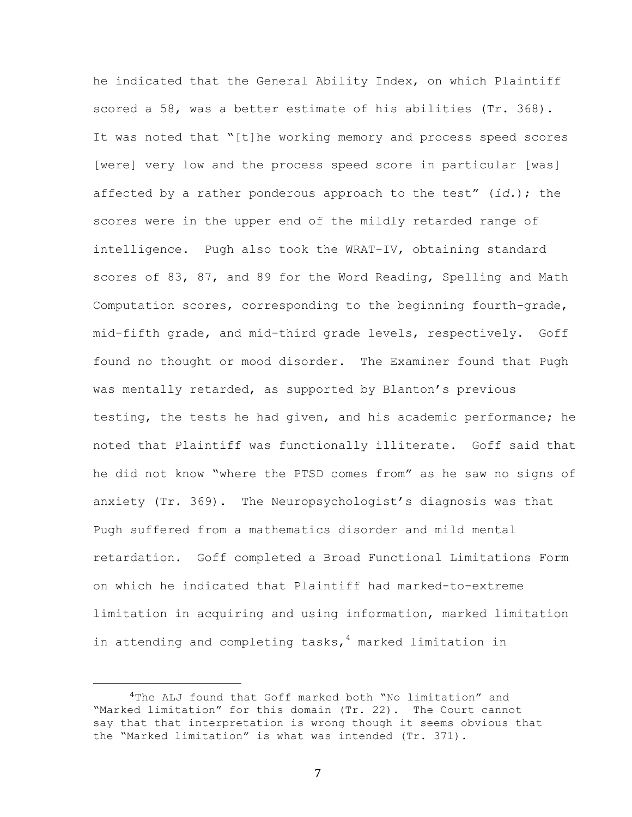he indicated that the General Ability Index, on which Plaintiff scored a 58, was a better estimate of his abilities (Tr. 368). It was noted that "[t]he working memory and process speed scores [were] very low and the process speed score in particular [was] affected by a rather ponderous approach to the test" (*id.*); the scores were in the upper end of the mildly retarded range of intelligence. Pugh also took the WRAT-IV, obtaining standard scores of 83, 87, and 89 for the Word Reading, Spelling and Math Computation scores, corresponding to the beginning fourth-grade, mid-fifth grade, and mid-third grade levels, respectively. Goff found no thought or mood disorder. The Examiner found that Pugh was mentally retarded, as supported by Blanton's previous testing, the tests he had given, and his academic performance; he noted that Plaintiff was functionally illiterate. Goff said that he did not know "where the PTSD comes from" as he saw no signs of anxiety (Tr. 369). The Neuropsychologist's diagnosis was that Pugh suffered from a mathematics disorder and mild mental retardation. Goff completed a Broad Functional Limitations Form on which he indicated that Plaintiff had marked-to-extreme limitation in acquiring and using information, marked limitation in attending and completing tasks,  $4$  marked limitation in

<sup>4</sup>The ALJ found that Goff marked both "No limitation" and "Marked limitation" for this domain (Tr. 22). The Court cannot say that that interpretation is wrong though it seems obvious that the "Marked limitation" is what was intended (Tr. 371).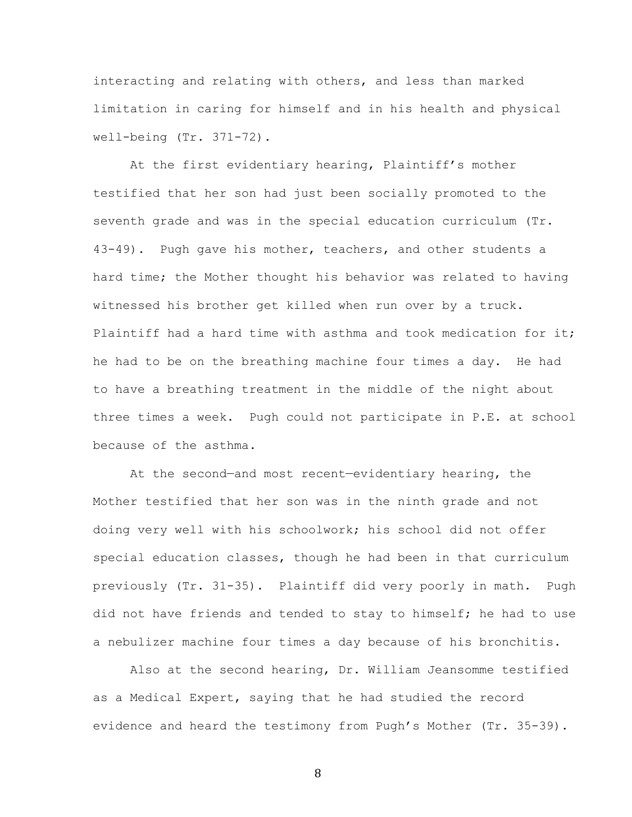interacting and relating with others, and less than marked limitation in caring for himself and in his health and physical well-being (Tr. 371-72).

At the first evidentiary hearing, Plaintiff's mother testified that her son had just been socially promoted to the seventh grade and was in the special education curriculum (Tr. 43-49). Pugh gave his mother, teachers, and other students a hard time; the Mother thought his behavior was related to having witnessed his brother get killed when run over by a truck. Plaintiff had a hard time with asthma and took medication for it; he had to be on the breathing machine four times a day. He had to have a breathing treatment in the middle of the night about three times a week. Pugh could not participate in P.E. at school because of the asthma.

At the second—and most recent—evidentiary hearing, the Mother testified that her son was in the ninth grade and not doing very well with his schoolwork; his school did not offer special education classes, though he had been in that curriculum previously (Tr. 31-35). Plaintiff did very poorly in math. Pugh did not have friends and tended to stay to himself; he had to use a nebulizer machine four times a day because of his bronchitis.

Also at the second hearing, Dr. William Jeansomme testified as a Medical Expert, saying that he had studied the record evidence and heard the testimony from Pugh's Mother (Tr. 35-39).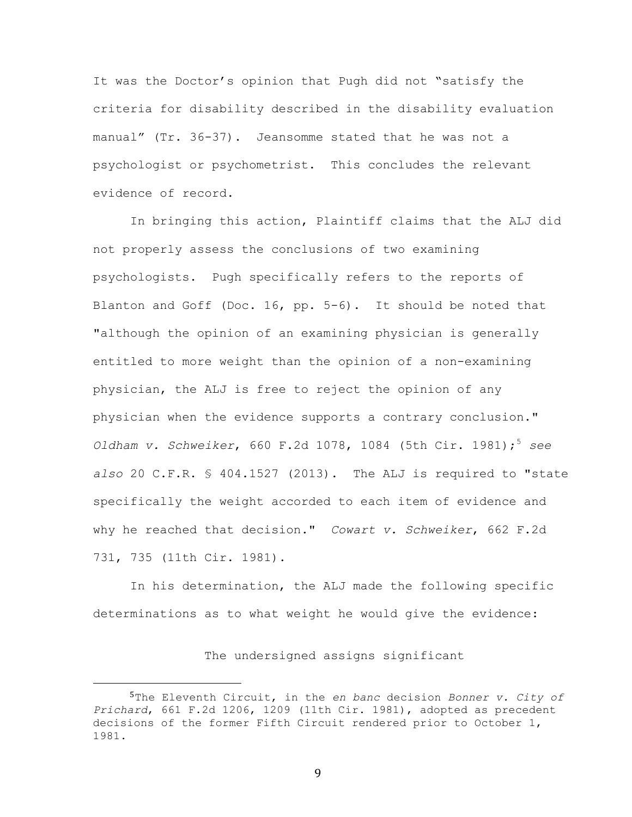It was the Doctor's opinion that Pugh did not "satisfy the criteria for disability described in the disability evaluation manual" (Tr. 36-37). Jeansomme stated that he was not a psychologist or psychometrist. This concludes the relevant evidence of record.

In bringing this action, Plaintiff claims that the ALJ did not properly assess the conclusions of two examining psychologists. Pugh specifically refers to the reports of Blanton and Goff (Doc. 16, pp. 5-6). It should be noted that "although the opinion of an examining physician is generally entitled to more weight than the opinion of a non-examining physician, the ALJ is free to reject the opinion of any physician when the evidence supports a contrary conclusion." *Oldham v. Schweiker,* 660 F.2d 1078, 1084 (5th Cir. 1981);<sup>5</sup> see *also* 20 C.F.R. § 404.1527 (2013). The ALJ is required to "state specifically the weight accorded to each item of evidence and why he reached that decision." *Cowart v. Schweiker*, 662 F.2d 731, 735 (11th Cir. 1981).

In his determination, the ALJ made the following specific determinations as to what weight he would give the evidence:

## The undersigned assigns significant

 

 <sup>5</sup>The Eleventh Circuit, in the *en banc* decision *Bonner v. City of Prichard*, 661 F.2d 1206, 1209 (11th Cir. 1981), adopted as precedent decisions of the former Fifth Circuit rendered prior to October 1, 1981.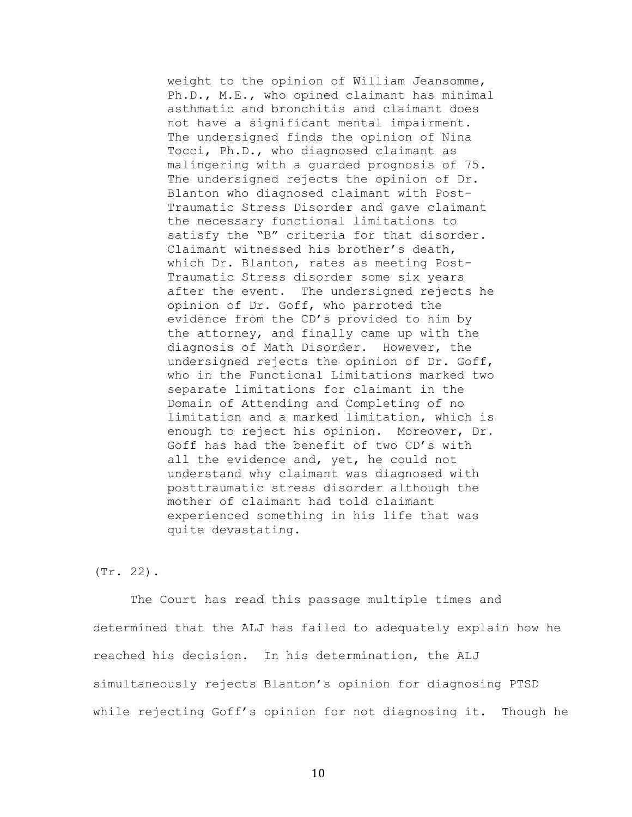weight to the opinion of William Jeansomme, Ph.D., M.E., who opined claimant has minimal asthmatic and bronchitis and claimant does not have a significant mental impairment. The undersigned finds the opinion of Nina Tocci, Ph.D., who diagnosed claimant as malingering with a guarded prognosis of 75. The undersigned rejects the opinion of Dr. Blanton who diagnosed claimant with Post-Traumatic Stress Disorder and gave claimant the necessary functional limitations to satisfy the "B" criteria for that disorder. Claimant witnessed his brother's death, which Dr. Blanton, rates as meeting Post-Traumatic Stress disorder some six years after the event. The undersigned rejects he opinion of Dr. Goff, who parroted the evidence from the CD's provided to him by the attorney, and finally came up with the diagnosis of Math Disorder. However, the undersigned rejects the opinion of Dr. Goff, who in the Functional Limitations marked two separate limitations for claimant in the Domain of Attending and Completing of no limitation and a marked limitation, which is enough to reject his opinion. Moreover, Dr. Goff has had the benefit of two CD's with all the evidence and, yet, he could not understand why claimant was diagnosed with posttraumatic stress disorder although the mother of claimant had told claimant experienced something in his life that was quite devastating.

## (Tr. 22).

The Court has read this passage multiple times and determined that the ALJ has failed to adequately explain how he reached his decision. In his determination, the ALJ simultaneously rejects Blanton's opinion for diagnosing PTSD while rejecting Goff's opinion for not diagnosing it. Though he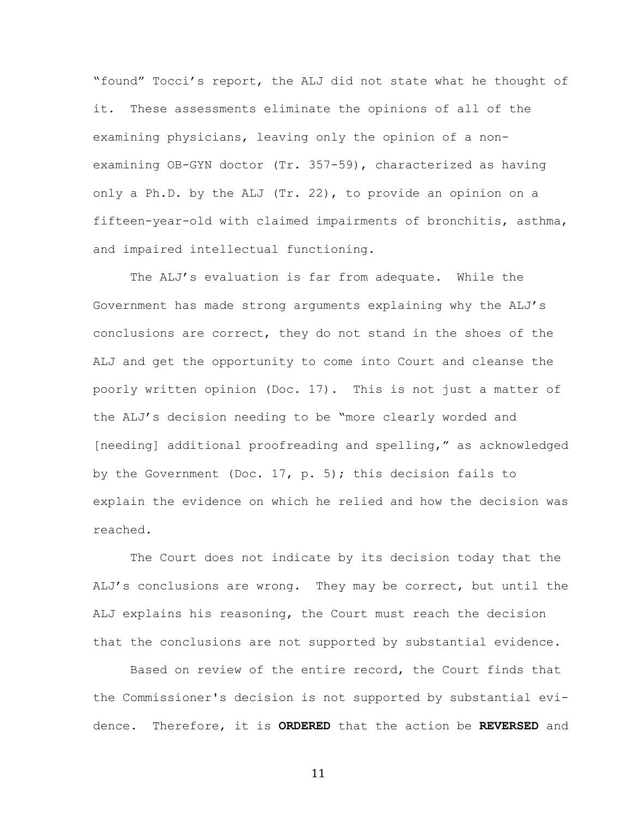"found" Tocci's report, the ALJ did not state what he thought of it. These assessments eliminate the opinions of all of the examining physicians, leaving only the opinion of a nonexamining OB-GYN doctor (Tr. 357-59), characterized as having only a Ph.D. by the ALJ (Tr. 22), to provide an opinion on a fifteen-year-old with claimed impairments of bronchitis, asthma, and impaired intellectual functioning.

The ALJ's evaluation is far from adequate. While the Government has made strong arguments explaining why the ALJ's conclusions are correct, they do not stand in the shoes of the ALJ and get the opportunity to come into Court and cleanse the poorly written opinion (Doc. 17). This is not just a matter of the ALJ's decision needing to be "more clearly worded and [needing] additional proofreading and spelling," as acknowledged by the Government (Doc. 17, p. 5); this decision fails to explain the evidence on which he relied and how the decision was reached.

The Court does not indicate by its decision today that the ALJ's conclusions are wrong. They may be correct, but until the ALJ explains his reasoning, the Court must reach the decision that the conclusions are not supported by substantial evidence.

Based on review of the entire record, the Court finds that the Commissioner's decision is not supported by substantial evidence. Therefore, it is **ORDERED** that the action be **REVERSED** and